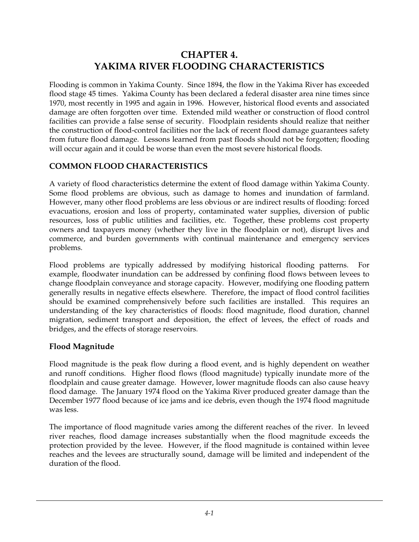# **CHAPTER 4. YAKIMA RIVER FLOODING CHARACTERISTICS**

Flooding is common in Yakima County. Since 1894, the flow in the Yakima River has exceeded flood stage 45 times. Yakima County has been declared a federal disaster area nine times since 1970, most recently in 1995 and again in 1996. However, historical flood events and associated damage are often forgotten over time. Extended mild weather or construction of flood control facilities can provide a false sense of security. Floodplain residents should realize that neither the construction of flood-control facilities nor the lack of recent flood damage guarantees safety from future flood damage. Lessons learned from past floods should not be forgotten; flooding will occur again and it could be worse than even the most severe historical floods.

### **COMMON FLOOD CHARACTERISTICS**

A variety of flood characteristics determine the extent of flood damage within Yakima County. Some flood problems are obvious, such as damage to homes and inundation of farmland. However, many other flood problems are less obvious or are indirect results of flooding: forced evacuations, erosion and loss of property, contaminated water supplies, diversion of public resources, loss of public utilities and facilities, etc. Together, these problems cost property owners and taxpayers money (whether they live in the floodplain or not), disrupt lives and commerce, and burden governments with continual maintenance and emergency services problems.

Flood problems are typically addressed by modifying historical flooding patterns. For example, floodwater inundation can be addressed by confining flood flows between levees to change floodplain conveyance and storage capacity. However, modifying one flooding pattern generally results in negative effects elsewhere. Therefore, the impact of flood control facilities should be examined comprehensively before such facilities are installed. This requires an understanding of the key characteristics of floods: flood magnitude, flood duration, channel migration, sediment transport and deposition, the effect of levees, the effect of roads and bridges, and the effects of storage reservoirs.

#### **Flood Magnitude**

Flood magnitude is the peak flow during a flood event, and is highly dependent on weather and runoff conditions. Higher flood flows (flood magnitude) typically inundate more of the floodplain and cause greater damage. However, lower magnitude floods can also cause heavy flood damage. The January 1974 flood on the Yakima River produced greater damage than the December 1977 flood because of ice jams and ice debris, even though the 1974 flood magnitude was less.

The importance of flood magnitude varies among the different reaches of the river. In leveed river reaches, flood damage increases substantially when the flood magnitude exceeds the protection provided by the levee. However, if the flood magnitude is contained within levee reaches and the levees are structurally sound, damage will be limited and independent of the duration of the flood.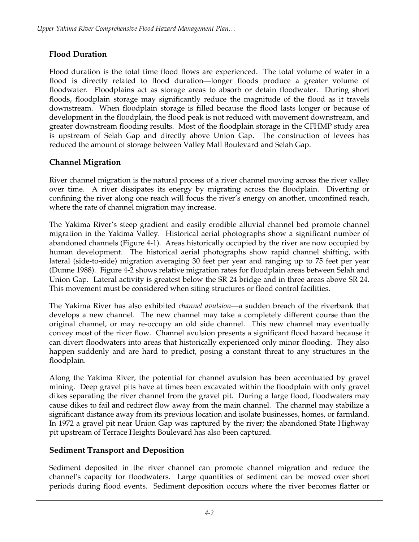## **Flood Duration**

Flood duration is the total time flood flows are experienced. The total volume of water in a flood is directly related to flood duration—longer floods produce a greater volume of floodwater. Floodplains act as storage areas to absorb or detain floodwater. During short floods, floodplain storage may significantly reduce the magnitude of the flood as it travels downstream. When floodplain storage is filled because the flood lasts longer or because of development in the floodplain, the flood peak is not reduced with movement downstream, and greater downstream flooding results. Most of the floodplain storage in the CFHMP study area is upstream of Selah Gap and directly above Union Gap. The construction of levees has reduced the amount of storage between Valley Mall Boulevard and Selah Gap.

### **Channel Migration**

River channel migration is the natural process of a river channel moving across the river valley over time. A river dissipates its energy by migrating across the floodplain. Diverting or confining the river along one reach will focus the river's energy on another, unconfined reach, where the rate of channel migration may increase.

The Yakima River's steep gradient and easily erodible alluvial channel bed promote channel migration in the Yakima Valley. Historical aerial photographs show a significant number of abandoned channels (Figure 4-1). Areas historically occupied by the river are now occupied by human development. The historical aerial photographs show rapid channel shifting, with lateral (side-to-side) migration averaging 30 feet per year and ranging up to 75 feet per year (Dunne 1988). Figure 4-2 shows relative migration rates for floodplain areas between Selah and Union Gap. Lateral activity is greatest below the SR 24 bridge and in three areas above SR 24. This movement must be considered when siting structures or flood control facilities.

The Yakima River has also exhibited *channel avulsion—*a sudden breach of the riverbank that develops a new channel. The new channel may take a completely different course than the original channel, or may re-occupy an old side channel. This new channel may eventually convey most of the river flow. Channel avulsion presents a significant flood hazard because it can divert floodwaters into areas that historically experienced only minor flooding. They also happen suddenly and are hard to predict, posing a constant threat to any structures in the floodplain.

Along the Yakima River, the potential for channel avulsion has been accentuated by gravel mining. Deep gravel pits have at times been excavated within the floodplain with only gravel dikes separating the river channel from the gravel pit. During a large flood, floodwaters may cause dikes to fail and redirect flow away from the main channel. The channel may stabilize a significant distance away from its previous location and isolate businesses, homes, or farmland. In 1972 a gravel pit near Union Gap was captured by the river; the abandoned State Highway pit upstream of Terrace Heights Boulevard has also been captured.

#### **Sediment Transport and Deposition**

Sediment deposited in the river channel can promote channel migration and reduce the channel's capacity for floodwaters. Large quantities of sediment can be moved over short periods during flood events. Sediment deposition occurs where the river becomes flatter or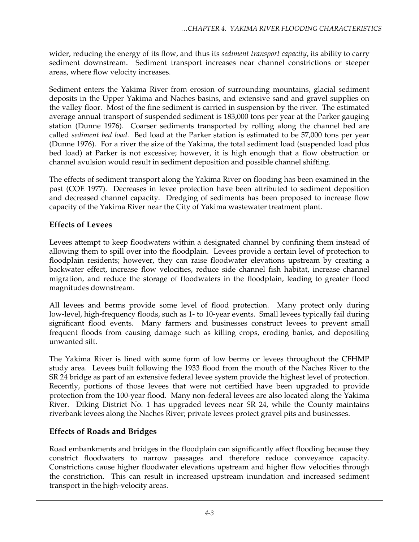wider, reducing the energy of its flow, and thus its *sediment transport capacity*, its ability to carry sediment downstream. Sediment transport increases near channel constrictions or steeper areas, where flow velocity increases.

Sediment enters the Yakima River from erosion of surrounding mountains, glacial sediment deposits in the Upper Yakima and Naches basins, and extensive sand and gravel supplies on the valley floor. Most of the fine sediment is carried in suspension by the river. The estimated average annual transport of suspended sediment is 183,000 tons per year at the Parker gauging station (Dunne 1976). Coarser sediments transported by rolling along the channel bed are called *sediment bed load*. Bed load at the Parker station is estimated to be 57,000 tons per year (Dunne 1976). For a river the size of the Yakima, the total sediment load (suspended load plus bed load) at Parker is not excessive; however, it is high enough that a flow obstruction or channel avulsion would result in sediment deposition and possible channel shifting.

The effects of sediment transport along the Yakima River on flooding has been examined in the past (COE 1977). Decreases in levee protection have been attributed to sediment deposition and decreased channel capacity. Dredging of sediments has been proposed to increase flow capacity of the Yakima River near the City of Yakima wastewater treatment plant.

# **Effects of Levees**

Levees attempt to keep floodwaters within a designated channel by confining them instead of allowing them to spill over into the floodplain. Levees provide a certain level of protection to floodplain residents; however, they can raise floodwater elevations upstream by creating a backwater effect, increase flow velocities, reduce side channel fish habitat, increase channel migration, and reduce the storage of floodwaters in the floodplain, leading to greater flood magnitudes downstream.

All levees and berms provide some level of flood protection. Many protect only during low-level, high-frequency floods, such as 1- to 10-year events. Small levees typically fail during significant flood events. Many farmers and businesses construct levees to prevent small frequent floods from causing damage such as killing crops, eroding banks, and depositing unwanted silt.

The Yakima River is lined with some form of low berms or levees throughout the CFHMP study area. Levees built following the 1933 flood from the mouth of the Naches River to the SR 24 bridge as part of an extensive federal levee system provide the highest level of protection. Recently, portions of those levees that were not certified have been upgraded to provide protection from the 100-year flood. Many non-federal levees are also located along the Yakima River. Diking District No. 1 has upgraded levees near SR 24, while the County maintains riverbank levees along the Naches River; private levees protect gravel pits and businesses.

# **Effects of Roads and Bridges**

Road embankments and bridges in the floodplain can significantly affect flooding because they constrict floodwaters to narrow passages and therefore reduce conveyance capacity. Constrictions cause higher floodwater elevations upstream and higher flow velocities through the constriction. This can result in increased upstream inundation and increased sediment transport in the high-velocity areas.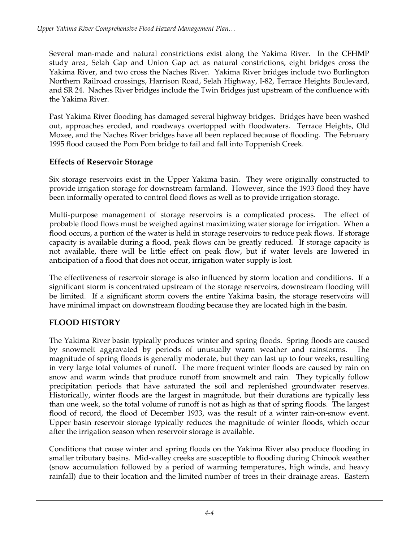Several man-made and natural constrictions exist along the Yakima River. In the CFHMP study area, Selah Gap and Union Gap act as natural constrictions, eight bridges cross the Yakima River, and two cross the Naches River. Yakima River bridges include two Burlington Northern Railroad crossings, Harrison Road, Selah Highway, I-82, Terrace Heights Boulevard, and SR 24. Naches River bridges include the Twin Bridges just upstream of the confluence with the Yakima River.

Past Yakima River flooding has damaged several highway bridges. Bridges have been washed out, approaches eroded, and roadways overtopped with floodwaters. Terrace Heights, Old Moxee, and the Naches River bridges have all been replaced because of flooding. The February 1995 flood caused the Pom Pom bridge to fail and fall into Toppenish Creek.

### **Effects of Reservoir Storage**

Six storage reservoirs exist in the Upper Yakima basin. They were originally constructed to provide irrigation storage for downstream farmland. However, since the 1933 flood they have been informally operated to control flood flows as well as to provide irrigation storage.

Multi-purpose management of storage reservoirs is a complicated process. The effect of probable flood flows must be weighed against maximizing water storage for irrigation. When a flood occurs, a portion of the water is held in storage reservoirs to reduce peak flows. If storage capacity is available during a flood, peak flows can be greatly reduced. If storage capacity is not available, there will be little effect on peak flow, but if water levels are lowered in anticipation of a flood that does not occur, irrigation water supply is lost.

The effectiveness of reservoir storage is also influenced by storm location and conditions. If a significant storm is concentrated upstream of the storage reservoirs, downstream flooding will be limited. If a significant storm covers the entire Yakima basin, the storage reservoirs will have minimal impact on downstream flooding because they are located high in the basin.

# **FLOOD HISTORY**

The Yakima River basin typically produces winter and spring floods. Spring floods are caused by snowmelt aggravated by periods of unusually warm weather and rainstorms. The magnitude of spring floods is generally moderate, but they can last up to four weeks, resulting in very large total volumes of runoff. The more frequent winter floods are caused by rain on snow and warm winds that produce runoff from snowmelt and rain. They typically follow precipitation periods that have saturated the soil and replenished groundwater reserves. Historically, winter floods are the largest in magnitude, but their durations are typically less than one week, so the total volume of runoff is not as high as that of spring floods. The largest flood of record, the flood of December 1933, was the result of a winter rain-on-snow event. Upper basin reservoir storage typically reduces the magnitude of winter floods, which occur after the irrigation season when reservoir storage is available.

Conditions that cause winter and spring floods on the Yakima River also produce flooding in smaller tributary basins. Mid-valley creeks are susceptible to flooding during Chinook weather (snow accumulation followed by a period of warming temperatures, high winds, and heavy rainfall) due to their location and the limited number of trees in their drainage areas. Eastern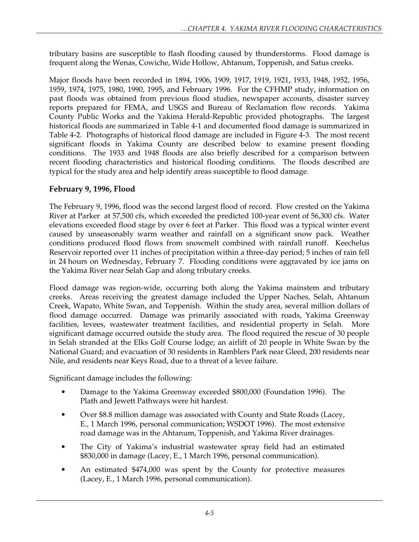tributary basins are susceptible to flash flooding caused by thunderstorms. Flood damage is frequent along the Wenas, Cowiche, Wide Hollow, Ahtanum, Toppenish, and Satus creeks.

Major floods have been recorded in 1894, 1906, 1909, 1917, 1919, 1921, 1933, 1948, 1952, 1956, 1959, 1974, 1975, 1980, 1990, 1995, and February 1996. For the CFHMP study, information on past floods was obtained from previous flood studies, newspaper accounts, disaster survey reports prepared for FEMA, and USGS and Bureau of Reclamation flow records. Yakima County Public Works and the Yakima Herald-Republic provided photographs. The largest historical floods are summarized in Table 4-1 and documented flood damage is summarized in Table 4-2. Photographs of historical flood damage are included in Figure 4-3. The most recent significant floods in Yakima County are described below to examine present flooding conditions. The 1933 and 1948 floods are also briefly described for a comparison between recent flooding characteristics and historical flooding conditions. The floods described are typical for the study area and help identify areas susceptible to flood damage.

### **February 9, 1996, Flood**

The February 9, 1996, flood was the second largest flood of record. Flow crested on the Yakima River at Parker at 57,500 cfs, which exceeded the predicted 100-year event of 56,300 cfs. Water elevations exceeded flood stage by over 6 feet at Parker. This flood was a typical winter event caused by unseasonably warm weather and rainfall on a significant snow pack. Weather conditions produced flood flows from snowmelt combined with rainfall runoff. Keechelus Reservoir reported over 11 inches of precipitation within a three-day period; 5 inches of rain fell in 24 hours on Wednesday, February 7. Flooding conditions were aggravated by ice jams on the Yakima River near Selah Gap and along tributary creeks.

Flood damage was region-wide, occurring both along the Yakima mainstem and tributary creeks. Areas receiving the greatest damage included the Upper Naches, Selah, Ahtanum Creek, Wapato, White Swan, and Toppenish. Within the study area, several million dollars of flood damage occurred. Damage was primarily associated with roads, Yakima Greenway facilities, levees, wastewater treatment facilities, and residential property in Selah. More significant damage occurred outside the study area. The flood required the rescue of 30 people in Selah stranded at the Elks Golf Course lodge; an airlift of 20 people in White Swan by the National Guard; and evacuation of 30 residents in Ramblers Park near Gleed, 200 residents near Nile, and residents near Keys Road, due to a threat of a levee failure.

Significant damage includes the following:

- Damage to the Yakima Greenway exceeded \$800,000 (Foundation 1996). The Plath and Jewett Pathways were hit hardest.
- Over \$8.8 million damage was associated with County and State Roads (Lacey, E., 1 March 1996, personal communication; WSDOT 1996). The most extensive road damage was in the Ahtanum, Toppenish, and Yakima River drainages.
- The City of Yakima's industrial wastewater spray field had an estimated \$830,000 in damage (Lacey, E., 1 March 1996, personal communication).
- An estimated \$474,000 was spent by the County for protective measures (Lacey, E., 1 March 1996, personal communication).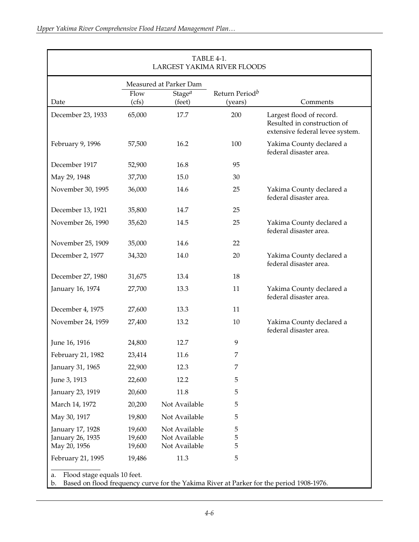|                                                      |                            | Measured at Parker Dam                          |                                       |                                                                                            |  |
|------------------------------------------------------|----------------------------|-------------------------------------------------|---------------------------------------|--------------------------------------------------------------------------------------------|--|
| Date                                                 | Flow<br>(cfs)              | Stage <sup>a</sup><br>(feet)                    | Return Period <sup>b</sup><br>(years) | Comments                                                                                   |  |
| December 23, 1933                                    | 65,000                     | 17.7                                            | 200                                   | Largest flood of record.<br>Resulted in construction of<br>extensive federal levee system. |  |
| February 9, 1996                                     | 57,500                     | 16.2                                            | 100                                   | Yakima County declared a<br>federal disaster area.                                         |  |
| December 1917                                        | 52,900                     | 16.8                                            | 95                                    |                                                                                            |  |
| May 29, 1948                                         | 37,700                     | 15.0                                            | 30                                    |                                                                                            |  |
| November 30, 1995                                    | 36,000                     | 14.6                                            | 25                                    | Yakima County declared a<br>federal disaster area.                                         |  |
| December 13, 1921                                    | 35,800                     | 14.7                                            | 25                                    |                                                                                            |  |
| November 26, 1990                                    | 35,620                     | 14.5                                            | 25                                    | Yakima County declared a<br>federal disaster area.                                         |  |
| November 25, 1909                                    | 35,000                     | 14.6                                            | 22                                    |                                                                                            |  |
| December 2, 1977                                     | 34,320                     | 14.0                                            | 20                                    | Yakima County declared a<br>federal disaster area.                                         |  |
| December 27, 1980                                    | 31,675                     | 13.4                                            | 18                                    |                                                                                            |  |
| January 16, 1974                                     | 27,700                     | 13.3                                            | 11                                    | Yakima County declared a<br>federal disaster area.                                         |  |
| December 4, 1975                                     | 27,600                     | 13.3                                            | 11                                    |                                                                                            |  |
| November 24, 1959                                    | 27,400                     | 13.2                                            | 10                                    | Yakima County declared a<br>federal disaster area.                                         |  |
| June 16, 1916                                        | 24,800                     | 12.7                                            | 9                                     |                                                                                            |  |
| February 21, 1982                                    | 23,414                     | 11.6                                            | 7                                     |                                                                                            |  |
| January 31, 1965                                     | 22,900                     | 12.3                                            | 7                                     |                                                                                            |  |
| June 3, 1913                                         | 22,600                     | 12.2                                            | 5                                     |                                                                                            |  |
| January 23, 1919                                     | 20,600                     | 11.8                                            | 5                                     |                                                                                            |  |
| March 14, 1972                                       | 20,200                     | Not Available                                   | 5                                     |                                                                                            |  |
| May 30, 1917                                         | 19,800                     | Not Available                                   | 5                                     |                                                                                            |  |
| January 17, 1928<br>January 26, 1935<br>May 20, 1956 | 19,600<br>19,600<br>19,600 | Not Available<br>Not Available<br>Not Available | 5<br>5<br>5                           |                                                                                            |  |
| February 21, 1995                                    | 19,486                     | 11.3                                            | 5                                     |                                                                                            |  |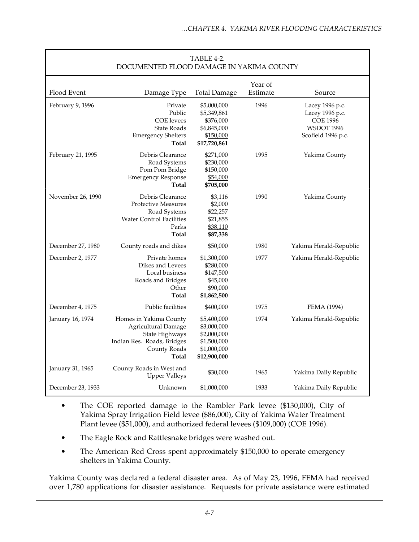| DOCUMENTED FLOOD DAMAGE IN YAKIMA COUNTY |                                                                                                                               |                                                                                         |                     |                                                                                                  |
|------------------------------------------|-------------------------------------------------------------------------------------------------------------------------------|-----------------------------------------------------------------------------------------|---------------------|--------------------------------------------------------------------------------------------------|
| Flood Event                              | Damage Type                                                                                                                   | <b>Total Damage</b>                                                                     | Year of<br>Estimate | Source                                                                                           |
| February 9, 1996                         | Private<br>Public<br><b>COE</b> levees<br><b>State Roads</b><br><b>Emergency Shelters</b><br>Total                            | \$5,000,000<br>\$5,349,861<br>\$376,000<br>\$6,845,000<br>\$150,000<br>\$17,720,861     | 1996                | Lacey 1996 p.c.<br>Lacey 1996 p.c.<br><b>COE 1996</b><br><b>WSDOT 1996</b><br>Scofield 1996 p.c. |
| February 21, 1995                        | Debris Clearance<br>Road Systems<br>Pom Pom Bridge<br><b>Emergency Response</b><br>Total                                      | \$271,000<br>\$230,000<br>\$150,000<br>\$54,000<br>\$705,000                            | 1995                | Yakima County                                                                                    |
| November 26, 1990                        | Debris Clearance<br><b>Protective Measures</b><br>Road Systems<br><b>Water Control Facilities</b><br>Parks<br>Total           | \$3,116<br>\$2,000<br>\$22,257<br>\$21,855<br>\$38,110<br>\$87,338                      | 1990                | Yakima County                                                                                    |
| December 27, 1980                        | County roads and dikes                                                                                                        | \$50,000                                                                                | 1980                | Yakima Herald-Republic                                                                           |
| December 2, 1977                         | Private homes<br>Dikes and Levees<br>Local business<br>Roads and Bridges<br>Other<br>Total                                    | \$1,300,000<br>\$280,000<br>\$147,500<br>\$45,000<br>\$90,000<br>\$1,862,500            | 1977                | Yakima Herald-Republic                                                                           |
| December 4, 1975                         | Public facilities                                                                                                             | \$400,000                                                                               | 1975                | FEMA (1994)                                                                                      |
| January 16, 1974                         | Homes in Yakima County<br><b>Agricultural Damage</b><br>State Highways<br>Indian Res. Roads, Bridges<br>County Roads<br>Total | \$5,400,000<br>\$3,000,000<br>\$2,000,000<br>\$1,500,000<br>\$1,000,000<br>\$12,900,000 | 1974                | Yakima Herald-Republic                                                                           |
| January 31, 1965                         | County Roads in West and<br><b>Upper Valleys</b>                                                                              | \$30,000                                                                                | 1965                | Yakima Daily Republic                                                                            |
| December 23, 1933                        | Unknown                                                                                                                       | \$1,000,000                                                                             | 1933                | Yakima Daily Republic                                                                            |

# $TARIFA-2$

- The COE reported damage to the Rambler Park levee (\$130,000), City of Yakima Spray Irrigation Field levee (\$86,000), City of Yakima Water Treatment Plant levee (\$51,000), and authorized federal levees (\$109,000) (COE 1996).
- The Eagle Rock and Rattlesnake bridges were washed out.
- The American Red Cross spent approximately \$150,000 to operate emergency shelters in Yakima County.

Yakima County was declared a federal disaster area. As of May 23, 1996, FEMA had received over 1,780 applications for disaster assistance. Requests for private assistance were estimated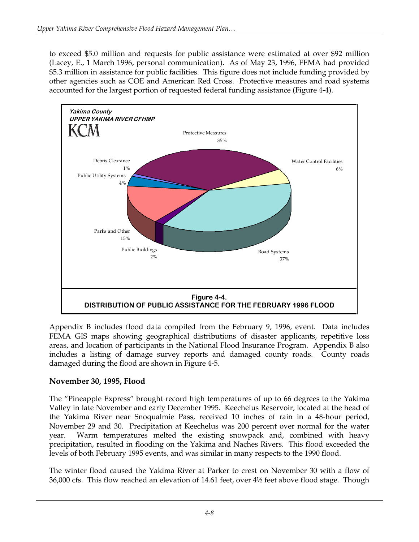to exceed \$5.0 million and requests for public assistance were estimated at over \$92 million (Lacey, E., 1 March 1996, personal communication). As of May 23, 1996, FEMA had provided \$5.3 million in assistance for public facilities. This figure does not include funding provided by other agencies such as COE and American Red Cross. Protective measures and road systems accounted for the largest portion of requested federal funding assistance (Figure 4-4).



Appendix B includes flood data compiled from the February 9, 1996, event. Data includes FEMA GIS maps showing geographical distributions of disaster applicants, repetitive loss areas, and location of participants in the National Flood Insurance Program. Appendix B also includes a listing of damage survey reports and damaged county roads. County roads damaged during the flood are shown in Figure 4-5.

#### **November 30, 1995, Flood**

The "Pineapple Express" brought record high temperatures of up to 66 degrees to the Yakima Valley in late November and early December 1995. Keechelus Reservoir, located at the head of the Yakima River near Snoqualmie Pass, received 10 inches of rain in a 48-hour period, November 29 and 30. Precipitation at Keechelus was 200 percent over normal for the water year. Warm temperatures melted the existing snowpack and, combined with heavy precipitation, resulted in flooding on the Yakima and Naches Rivers. This flood exceeded the levels of both February 1995 events, and was similar in many respects to the 1990 flood.

The winter flood caused the Yakima River at Parker to crest on November 30 with a flow of 36,000 cfs. This flow reached an elevation of 14.61 feet, over 4½ feet above flood stage. Though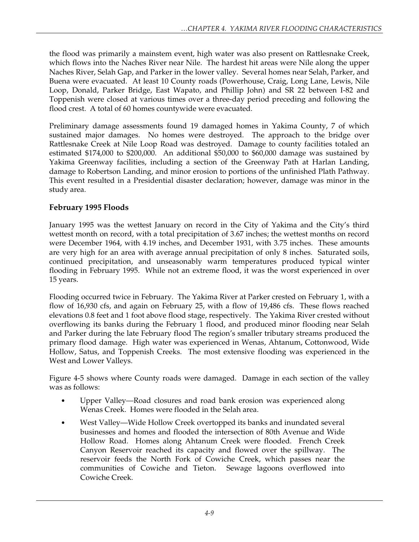the flood was primarily a mainstem event, high water was also present on Rattlesnake Creek, which flows into the Naches River near Nile. The hardest hit areas were Nile along the upper Naches River, Selah Gap, and Parker in the lower valley. Several homes near Selah, Parker, and Buena were evacuated. At least 10 County roads (Powerhouse, Craig, Long Lane, Lewis, Nile Loop, Donald, Parker Bridge, East Wapato, and Phillip John) and SR 22 between I-82 and Toppenish were closed at various times over a three-day period preceding and following the flood crest. A total of 60 homes countywide were evacuated.

Preliminary damage assessments found 19 damaged homes in Yakima County, 7 of which sustained major damages. No homes were destroyed. The approach to the bridge over Rattlesnake Creek at Nile Loop Road was destroyed. Damage to county facilities totaled an estimated \$174,000 to \$200,000. An additional \$50,000 to \$60,000 damage was sustained by Yakima Greenway facilities, including a section of the Greenway Path at Harlan Landing, damage to Robertson Landing, and minor erosion to portions of the unfinished Plath Pathway. This event resulted in a Presidential disaster declaration; however, damage was minor in the study area.

### **February 1995 Floods**

January 1995 was the wettest January on record in the City of Yakima and the City's third wettest month on record, with a total precipitation of 3.67 inches; the wettest months on record were December 1964, with 4.19 inches, and December 1931, with 3.75 inches. These amounts are very high for an area with average annual precipitation of only 8 inches. Saturated soils, continued precipitation, and unseasonably warm temperatures produced typical winter flooding in February 1995. While not an extreme flood, it was the worst experienced in over 15 years.

Flooding occurred twice in February. The Yakima River at Parker crested on February 1, with a flow of 16,930 cfs, and again on February 25, with a flow of 19,486 cfs. These flows reached elevations 0.8 feet and 1 foot above flood stage, respectively. The Yakima River crested without overflowing its banks during the February 1 flood, and produced minor flooding near Selah and Parker during the late February flood The region's smaller tributary streams produced the primary flood damage. High water was experienced in Wenas, Ahtanum, Cottonwood, Wide Hollow, Satus, and Toppenish Creeks. The most extensive flooding was experienced in the West and Lower Valleys.

Figure 4-5 shows where County roads were damaged. Damage in each section of the valley was as follows:

- Upper Valley—Road closures and road bank erosion was experienced along Wenas Creek. Homes were flooded in the Selah area.
- West Valley—Wide Hollow Creek overtopped its banks and inundated several businesses and homes and flooded the intersection of 80th Avenue and Wide Hollow Road. Homes along Ahtanum Creek were flooded. French Creek Canyon Reservoir reached its capacity and flowed over the spillway. The reservoir feeds the North Fork of Cowiche Creek, which passes near the communities of Cowiche and Tieton. Sewage lagoons overflowed into Cowiche Creek.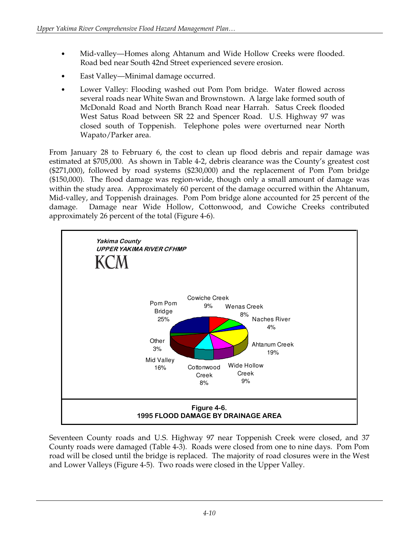- Mid-valley—Homes along Ahtanum and Wide Hollow Creeks were flooded. Road bed near South 42nd Street experienced severe erosion.
- East Valley—Minimal damage occurred.
- Lower Valley: Flooding washed out Pom Pom bridge. Water flowed across several roads near White Swan and Brownstown. A large lake formed south of McDonald Road and North Branch Road near Harrah. Satus Creek flooded West Satus Road between SR 22 and Spencer Road. U.S. Highway 97 was closed south of Toppenish. Telephone poles were overturned near North Wapato/Parker area.

From January 28 to February 6, the cost to clean up flood debris and repair damage was estimated at \$705,000. As shown in Table 4-2, debris clearance was the County's greatest cost (\$271,000), followed by road systems (\$230,000) and the replacement of Pom Pom bridge (\$150,000). The flood damage was region-wide, though only a small amount of damage was within the study area. Approximately 60 percent of the damage occurred within the Ahtanum, Mid-valley, and Toppenish drainages. Pom Pom bridge alone accounted for 25 percent of the damage. Damage near Wide Hollow, Cottonwood, and Cowiche Creeks contributed approximately 26 percent of the total (Figure 4-6).



Seventeen County roads and U.S. Highway 97 near Toppenish Creek were closed, and 37 County roads were damaged (Table 4-3). Roads were closed from one to nine days. Pom Pom road will be closed until the bridge is replaced. The majority of road closures were in the West and Lower Valleys (Figure 4-5). Two roads were closed in the Upper Valley.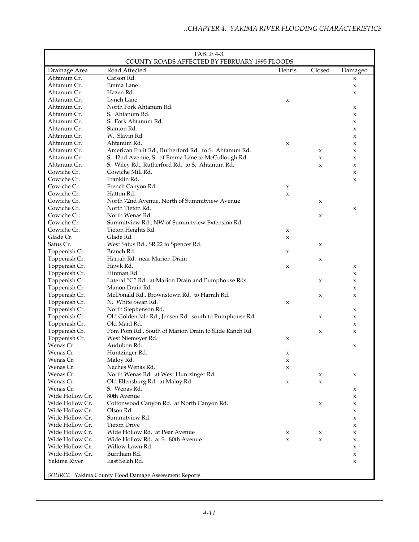| TABLE 4-3.<br>COUNTY ROADS AFFECTED BY FEBRUARY 1995 FLOODS |                                                        |             |                     |             |
|-------------------------------------------------------------|--------------------------------------------------------|-------------|---------------------|-------------|
| Drainage Area                                               | Road Affected                                          | Debris      | Closed              | Damaged     |
| Ahtanum Cr.                                                 | Carson Rd.                                             |             |                     | X           |
| Ahtanum Cr.                                                 | Emma Lane                                              |             |                     | $\mathsf X$ |
| Ahtanum Cr.                                                 | Hazen Rd.                                              |             |                     | X           |
| Ahtanum Cr.                                                 | Lynch Lane                                             | x           |                     |             |
| Ahtanum Cr.                                                 | North Fork Ahtanum Rd.                                 |             |                     | X           |
| Ahtanum Cr.                                                 | S. Ahtanum Rd.                                         |             |                     | $\mathsf x$ |
| Ahtanum Cr.                                                 | S. Fork Ahtanum Rd.                                    |             |                     | X           |
| Ahtanum Cr.                                                 | Stanton Rd.                                            |             |                     | x           |
| Ahtanum Cr.                                                 | W. Slavin Rd.                                          |             |                     | X           |
| Ahtanum Cr.                                                 | Ahtanum Rd.                                            | $\mathsf x$ |                     | X           |
| Ahtanum Cr.                                                 | American Fruit Rd., Rutherford Rd. to S. Ahtanum Rd.   |             | $\mathsf X$         | X           |
| Ahtanum Cr.                                                 | S. 42nd Avenue, S. of Emma Lane to McCullough Rd.      |             | $\mathsf X$         | X           |
| Ahtanum Cr.                                                 | S. Wiley Rd., Rutherford Rd. to S. Ahtanum Rd.         |             | $\boldsymbol{\chi}$ | X           |
| Cowiche Cr.                                                 | Cowiche Mill Rd.                                       |             |                     | $\mathsf X$ |
| Cowiche Cr.                                                 | Franklin Rd.                                           |             |                     | x           |
| Cowiche Cr.                                                 | French Canyon Rd.                                      | X           |                     |             |
| Cowiche Cr.                                                 | Hatton Rd.                                             | x           |                     |             |
| Cowiche Cr.                                                 | North 72nd Avenue, North of Summitview Avenue          |             | $\boldsymbol{\chi}$ |             |
| Cowiche Cr.                                                 | North Tieton Rd.                                       |             |                     | X           |
| Cowiche Cr.                                                 | North Wenas Rd.                                        |             | $\mathsf X$         |             |
| Cowiche Cr.                                                 | Summitview Rd., NW of Summitview Extension Rd.         |             |                     |             |
| Cowiche Cr.                                                 | Tieton Heights Rd.                                     | X           |                     |             |
| Glade Cr.                                                   | Glade Rd.                                              | X           |                     |             |
| Satus Cr.                                                   | West Satus Rd., SR 22 to Spencer Rd.                   |             | $\mathsf X$         |             |
| Toppenish Cr.                                               | Branch Rd.                                             | x           |                     |             |
| Toppenish Cr.                                               | Harrah Rd. near Marion Drain                           |             | $\mathsf X$         |             |
| Toppenish Cr.                                               | Hawk Rd.                                               | X           |                     | X           |
| Toppenish Cr.                                               | Hinman Rd.                                             |             |                     | X           |
| Toppenish Cr.                                               | Lateral "C" Rd. at Marion Drain and Pumphouse Rds.     |             | $\mathsf X$         | X           |
| Toppenish Cr.                                               | Manon Drain Rd.                                        |             |                     | X           |
| Toppenish Cr.                                               | McDonald Rd., Brownstown Rd. to Harrah Rd.             |             | $\mathsf X$         | $\mathsf x$ |
| Toppenish Cr.                                               | N. White Swan Rd.                                      | x           |                     |             |
| Toppenish Cr.                                               | North Stephenson Rd.                                   |             |                     | X           |
| Toppenish Cr.                                               | Old Goldendale Rd., Jensen Rd. south to Pumphouse Rd.  |             | $\mathsf X$         | X           |
| Toppenish Cr.                                               | Old Maid Rd.                                           |             |                     | X           |
| Toppenish Cr.                                               | Pom Pom Rd., South of Marion Drain to Slide Ranch Rd.  |             | $\boldsymbol{\chi}$ | $\mathsf x$ |
| Toppenish Cr.                                               | West Niemeyer Rd.                                      | x           |                     |             |
| Wenas Cr.                                                   | Audubon Rd.                                            |             |                     | X           |
| Wenas Cr.                                                   | Huntzinger Rd.                                         | х           |                     |             |
| Wenas Cr.                                                   | Maloy Rd.                                              | х           |                     |             |
| Wenas Cr.                                                   | Naches Wenas Rd.                                       | x           |                     |             |
| Wenas Cr.                                                   | North Wenas Rd. at West Huntzinger Rd.                 |             | X                   | X           |
| Wenas Cr.                                                   | Old Ellensburg Rd. at Maloy Rd.                        | X           | X                   |             |
| Wenas Cr.                                                   | S. Wenas Rd.                                           |             |                     | X           |
| Wide Hollow Cr.                                             | 80th Avenue                                            |             |                     | X           |
| Wide Hollow Cr.                                             | Cottonwood Canyon Rd. at North Canyon Rd.              |             | X                   | X           |
| Wide Hollow Cr.                                             | Olson Rd.                                              |             |                     | X           |
| Wide Hollow Cr.                                             | Summitview Rd.                                         |             |                     | X           |
| Wide Hollow Cr.                                             | <b>Tieton Drive</b>                                    |             |                     | X           |
| Wide Hollow Cr.                                             | Wide Hollow Rd. at Pear Avenue                         | x           | X                   | X           |
| Wide Hollow Cr.                                             | Wide Hollow Rd. at S. 80th Avenue                      | X           | X                   | X           |
| Wide Hollow Cr.                                             | Willow Lawn Rd.                                        |             |                     | X           |
| Wide Hollow Cr                                              | Burnham Rd.                                            |             |                     | X           |
| Yakima River                                                | East Selah Rd.                                         |             |                     | $\mathsf x$ |
|                                                             | SOURCE: Yakima County Flood Damage Assessment Reports. |             |                     |             |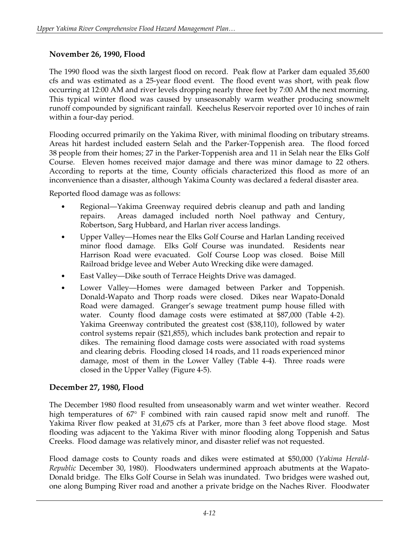#### **November 26, 1990, Flood**

The 1990 flood was the sixth largest flood on record. Peak flow at Parker dam equaled 35,600 cfs and was estimated as a 25-year flood event. The flood event was short, with peak flow occurring at 12:00 AM and river levels dropping nearly three feet by 7:00 AM the next morning. This typical winter flood was caused by unseasonably warm weather producing snowmelt runoff compounded by significant rainfall. Keechelus Reservoir reported over 10 inches of rain within a four-day period.

Flooding occurred primarily on the Yakima River, with minimal flooding on tributary streams. Areas hit hardest included eastern Selah and the Parker-Toppenish area. The flood forced 38 people from their homes; 27 in the Parker-Toppenish area and 11 in Selah near the Elks Golf Course. Eleven homes received major damage and there was minor damage to 22 others. According to reports at the time, County officials characterized this flood as more of an inconvenience than a disaster, although Yakima County was declared a federal disaster area.

Reported flood damage was as follows:

- Regional—Yakima Greenway required debris cleanup and path and landing repairs. Areas damaged included north Noel pathway and Century, Robertson, Sarg Hubbard, and Harlan river access landings.
- Upper Valley—Homes near the Elks Golf Course and Harlan Landing received minor flood damage. Elks Golf Course was inundated. Residents near Harrison Road were evacuated. Golf Course Loop was closed. Boise Mill Railroad bridge levee and Weber Auto Wrecking dike were damaged.
- East Valley—Dike south of Terrace Heights Drive was damaged.
- Lower Valley—Homes were damaged between Parker and Toppenish. Donald-Wapato and Thorp roads were closed. Dikes near Wapato-Donald Road were damaged. Granger's sewage treatment pump house filled with water. County flood damage costs were estimated at \$87,000 (Table 4-2). Yakima Greenway contributed the greatest cost (\$38,110), followed by water control systems repair (\$21,855), which includes bank protection and repair to dikes. The remaining flood damage costs were associated with road systems and clearing debris. Flooding closed 14 roads, and 11 roads experienced minor damage, most of them in the Lower Valley (Table 4-4). Three roads were closed in the Upper Valley (Figure 4-5).

# **December 27, 1980, Flood**

The December 1980 flood resulted from unseasonably warm and wet winter weather. Record high temperatures of 67° F combined with rain caused rapid snow melt and runoff. The Yakima River flow peaked at 31,675 cfs at Parker, more than 3 feet above flood stage. Most flooding was adjacent to the Yakima River with minor flooding along Toppenish and Satus Creeks. Flood damage was relatively minor, and disaster relief was not requested.

Flood damage costs to County roads and dikes were estimated at \$50,000 (*Yakima Herald-Republic* December 30, 1980). Floodwaters undermined approach abutments at the Wapato-Donald bridge. The Elks Golf Course in Selah was inundated. Two bridges were washed out, one along Bumping River road and another a private bridge on the Naches River. Floodwater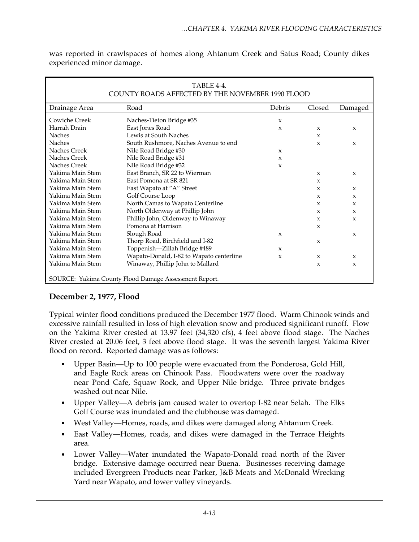| TABLE 4-4.<br>COUNTY ROADS AFFECTED BY THE NOVEMBER 1990 FLOOD |                                          |              |              |                     |  |
|----------------------------------------------------------------|------------------------------------------|--------------|--------------|---------------------|--|
| Drainage Area                                                  | Road                                     | Debris       | Closed       | Damaged             |  |
| Cowiche Creek                                                  | Naches-Tieton Bridge #35                 | $\mathbf{x}$ |              |                     |  |
| Harrah Drain                                                   | East Jones Road                          | $\mathbf{x}$ | X            | $\boldsymbol{\chi}$ |  |
| <b>Naches</b>                                                  | Lewis at South Naches                    |              | X            |                     |  |
| <b>Naches</b>                                                  | South Rushmore, Naches Avenue to end     |              | $\mathbf{x}$ | $\mathbf{x}$        |  |
| Naches Creek                                                   | Nile Road Bridge #30                     | $\mathbf{x}$ |              |                     |  |
| Naches Creek                                                   | Nile Road Bridge #31                     | $\mathbf{x}$ |              |                     |  |
| Naches Creek                                                   | Nile Road Bridge #32                     | X            |              |                     |  |
| Yakima Main Stem                                               | East Branch, SR 22 to Wierman            |              | X            | $\boldsymbol{\chi}$ |  |
| Yakima Main Stem                                               | East Pomona at SR 821                    |              | X            |                     |  |
| Yakima Main Stem                                               | East Wapato at "A" Street                |              | X            | $\mathbf{x}$        |  |
| Yakima Main Stem                                               | Golf Course Loop                         |              | X            | X                   |  |
| Yakima Main Stem                                               | North Camas to Wapato Centerline         |              | X            | X                   |  |
| Yakima Main Stem                                               | North Oldenway at Phillip John           |              | X            | $\mathbf{x}$        |  |
| Yakima Main Stem                                               | Phillip John, Oldenway to Winaway        |              | X            | X                   |  |
| Yakima Main Stem                                               | Pomona at Harrison                       |              | X            |                     |  |
| Yakima Main Stem                                               | Slough Road                              | $\mathbf{x}$ |              | $\mathbf{x}$        |  |
| Yakima Main Stem                                               | Thorp Road, Birchfield and I-82          |              | $\mathbf{x}$ |                     |  |
| Yakima Main Stem                                               | Toppenish-Zillah Bridge #489             | X            |              |                     |  |
| Yakima Main Stem                                               | Wapato-Donald, I-82 to Wapato centerline | $\mathbf{x}$ | $\mathbf{x}$ | $\mathbf{x}$        |  |
| Yakima Main Stem                                               | Winaway, Phillip John to Mallard         |              | X            | X                   |  |
| SOURCE: Yakima County Flood Damage Assessment Report.          |                                          |              |              |                     |  |

was reported in crawlspaces of homes along Ahtanum Creek and Satus Road; County dikes experienced minor damage.

# **December 2, 1977, Flood**

Typical winter flood conditions produced the December 1977 flood. Warm Chinook winds and excessive rainfall resulted in loss of high elevation snow and produced significant runoff. Flow on the Yakima River crested at 13.97 feet (34,320 cfs), 4 feet above flood stage. The Naches River crested at 20.06 feet, 3 feet above flood stage. It was the seventh largest Yakima River flood on record. Reported damage was as follows:

- Upper Basin—Up to 100 people were evacuated from the Ponderosa, Gold Hill, and Eagle Rock areas on Chinook Pass. Floodwaters were over the roadway near Pond Cafe, Squaw Rock, and Upper Nile bridge. Three private bridges washed out near Nile.
- Upper Valley—A debris jam caused water to overtop I-82 near Selah. The Elks Golf Course was inundated and the clubhouse was damaged.
- West Valley—Homes, roads, and dikes were damaged along Ahtanum Creek.
- East Valley—Homes, roads, and dikes were damaged in the Terrace Heights area.
- Lower Valley—Water inundated the Wapato-Donald road north of the River bridge. Extensive damage occurred near Buena. Businesses receiving damage included Evergreen Products near Parker, J&B Meats and McDonald Wrecking Yard near Wapato, and lower valley vineyards.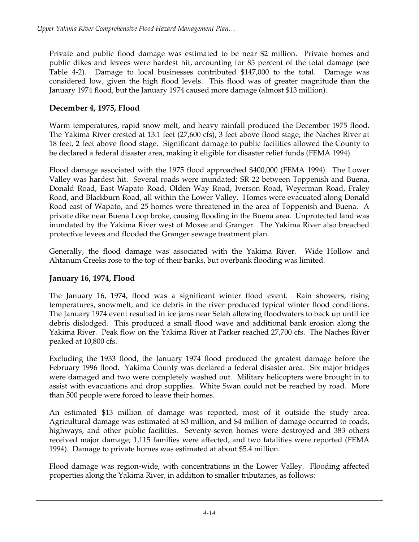Private and public flood damage was estimated to be near \$2 million. Private homes and public dikes and levees were hardest hit, accounting for 85 percent of the total damage (see Table 4-2). Damage to local businesses contributed \$147,000 to the total. Damage was considered low, given the high flood levels. This flood was of greater magnitude than the January 1974 flood, but the January 1974 caused more damage (almost \$13 million).

#### **December 4, 1975, Flood**

Warm temperatures, rapid snow melt, and heavy rainfall produced the December 1975 flood. The Yakima River crested at 13.1 feet (27,600 cfs), 3 feet above flood stage; the Naches River at 18 feet, 2 feet above flood stage. Significant damage to public facilities allowed the County to be declared a federal disaster area, making it eligible for disaster relief funds (FEMA 1994).

Flood damage associated with the 1975 flood approached \$400,000 (FEMA 1994). The Lower Valley was hardest hit. Several roads were inundated: SR 22 between Toppenish and Buena, Donald Road, East Wapato Road, Olden Way Road, Iverson Road, Weyerman Road, Fraley Road, and Blackburn Road, all within the Lower Valley. Homes were evacuated along Donald Road east of Wapato, and 25 homes were threatened in the area of Toppenish and Buena. A private dike near Buena Loop broke, causing flooding in the Buena area. Unprotected land was inundated by the Yakima River west of Moxee and Granger. The Yakima River also breached protective levees and flooded the Granger sewage treatment plan.

Generally, the flood damage was associated with the Yakima River. Wide Hollow and Ahtanum Creeks rose to the top of their banks, but overbank flooding was limited.

#### **January 16, 1974, Flood**

The January 16, 1974, flood was a significant winter flood event. Rain showers, rising temperatures, snowmelt, and ice debris in the river produced typical winter flood conditions. The January 1974 event resulted in ice jams near Selah allowing floodwaters to back up until ice debris dislodged. This produced a small flood wave and additional bank erosion along the Yakima River. Peak flow on the Yakima River at Parker reached 27,700 cfs. The Naches River peaked at 10,800 cfs.

Excluding the 1933 flood, the January 1974 flood produced the greatest damage before the February 1996 flood. Yakima County was declared a federal disaster area. Six major bridges were damaged and two were completely washed out. Military helicopters were brought in to assist with evacuations and drop supplies. White Swan could not be reached by road. More than 500 people were forced to leave their homes.

An estimated \$13 million of damage was reported, most of it outside the study area. Agricultural damage was estimated at \$3 million, and \$4 million of damage occurred to roads, highways, and other public facilities. Seventy-seven homes were destroyed and 383 others received major damage; 1,115 families were affected, and two fatalities were reported (FEMA 1994). Damage to private homes was estimated at about \$5.4 million.

Flood damage was region-wide, with concentrations in the Lower Valley. Flooding affected properties along the Yakima River, in addition to smaller tributaries, as follows: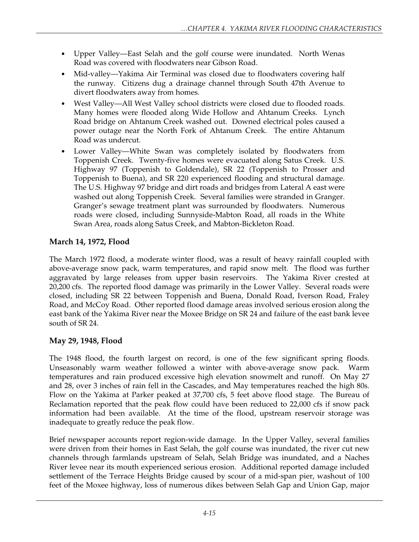- Upper Valley—East Selah and the golf course were inundated. North Wenas Road was covered with floodwaters near Gibson Road.
- Mid-valley—Yakima Air Terminal was closed due to floodwaters covering half the runway. Citizens dug a drainage channel through South 47th Avenue to divert floodwaters away from homes.
- West Valley—All West Valley school districts were closed due to flooded roads. Many homes were flooded along Wide Hollow and Ahtanum Creeks. Lynch Road bridge on Ahtanum Creek washed out. Downed electrical poles caused a power outage near the North Fork of Ahtanum Creek. The entire Ahtanum Road was undercut.
- Lower Valley—White Swan was completely isolated by floodwaters from Toppenish Creek. Twenty-five homes were evacuated along Satus Creek. U.S. Highway 97 (Toppenish to Goldendale), SR 22 (Toppenish to Prosser and Toppenish to Buena), and SR 220 experienced flooding and structural damage. The U.S. Highway 97 bridge and dirt roads and bridges from Lateral A east were washed out along Toppenish Creek. Several families were stranded in Granger. Granger's sewage treatment plant was surrounded by floodwaters. Numerous roads were closed, including Sunnyside-Mabton Road, all roads in the White Swan Area, roads along Satus Creek, and Mabton-Bickleton Road.

# **March 14, 1972, Flood**

The March 1972 flood, a moderate winter flood, was a result of heavy rainfall coupled with above-average snow pack, warm temperatures, and rapid snow melt. The flood was further aggravated by large releases from upper basin reservoirs. The Yakima River crested at 20,200 cfs. The reported flood damage was primarily in the Lower Valley. Several roads were closed, including SR 22 between Toppenish and Buena, Donald Road, Iverson Road, Fraley Road, and McCoy Road. Other reported flood damage areas involved serious erosion along the east bank of the Yakima River near the Moxee Bridge on SR 24 and failure of the east bank levee south of SR 24.

# **May 29, 1948, Flood**

The 1948 flood, the fourth largest on record, is one of the few significant spring floods. Unseasonably warm weather followed a winter with above-average snow pack. Warm temperatures and rain produced excessive high elevation snowmelt and runoff. On May 27 and 28, over 3 inches of rain fell in the Cascades, and May temperatures reached the high 80s. Flow on the Yakima at Parker peaked at 37,700 cfs, 5 feet above flood stage. The Bureau of Reclamation reported that the peak flow could have been reduced to 22,000 cfs if snow pack information had been available. At the time of the flood, upstream reservoir storage was inadequate to greatly reduce the peak flow.

Brief newspaper accounts report region-wide damage. In the Upper Valley, several families were driven from their homes in East Selah, the golf course was inundated, the river cut new channels through farmlands upstream of Selah, Selah Bridge was inundated, and a Naches River levee near its mouth experienced serious erosion. Additional reported damage included settlement of the Terrace Heights Bridge caused by scour of a mid-span pier, washout of 100 feet of the Moxee highway, loss of numerous dikes between Selah Gap and Union Gap, major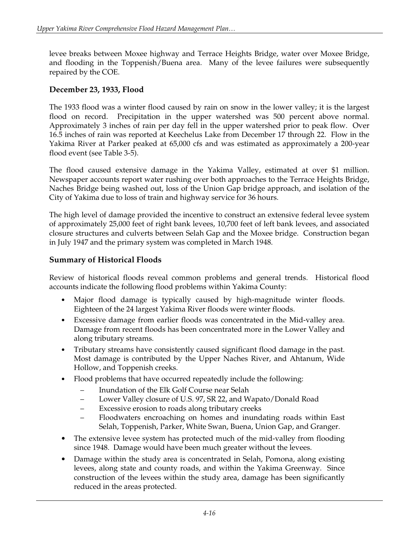levee breaks between Moxee highway and Terrace Heights Bridge, water over Moxee Bridge, and flooding in the Toppenish/Buena area. Many of the levee failures were subsequently repaired by the COE.

#### **December 23, 1933, Flood**

The 1933 flood was a winter flood caused by rain on snow in the lower valley; it is the largest flood on record. Precipitation in the upper watershed was 500 percent above normal. Approximately 3 inches of rain per day fell in the upper watershed prior to peak flow. Over 16.5 inches of rain was reported at Keechelus Lake from December 17 through 22. Flow in the Yakima River at Parker peaked at 65,000 cfs and was estimated as approximately a 200-year flood event (see Table 3-5).

The flood caused extensive damage in the Yakima Valley, estimated at over \$1 million. Newspaper accounts report water rushing over both approaches to the Terrace Heights Bridge, Naches Bridge being washed out, loss of the Union Gap bridge approach, and isolation of the City of Yakima due to loss of train and highway service for 36 hours.

The high level of damage provided the incentive to construct an extensive federal levee system of approximately 25,000 feet of right bank levees, 10,700 feet of left bank levees, and associated closure structures and culverts between Selah Gap and the Moxee bridge. Construction began in July 1947 and the primary system was completed in March 1948.

#### **Summary of Historical Floods**

Review of historical floods reveal common problems and general trends. Historical flood accounts indicate the following flood problems within Yakima County:

- Major flood damage is typically caused by high-magnitude winter floods. Eighteen of the 24 largest Yakima River floods were winter floods.
- Excessive damage from earlier floods was concentrated in the Mid-valley area. Damage from recent floods has been concentrated more in the Lower Valley and along tributary streams.
- Tributary streams have consistently caused significant flood damage in the past. Most damage is contributed by the Upper Naches River, and Ahtanum, Wide Hollow, and Toppenish creeks.
- Flood problems that have occurred repeatedly include the following:
	- Inundation of the Elk Golf Course near Selah
	- Lower Valley closure of U.S. 97, SR 22, and Wapato/Donald Road
	- Excessive erosion to roads along tributary creeks
	- Floodwaters encroaching on homes and inundating roads within East Selah, Toppenish, Parker, White Swan, Buena, Union Gap, and Granger.
- The extensive levee system has protected much of the mid-valley from flooding since 1948. Damage would have been much greater without the levees.
- Damage within the study area is concentrated in Selah, Pomona, along existing levees, along state and county roads, and within the Yakima Greenway. Since construction of the levees within the study area, damage has been significantly reduced in the areas protected.